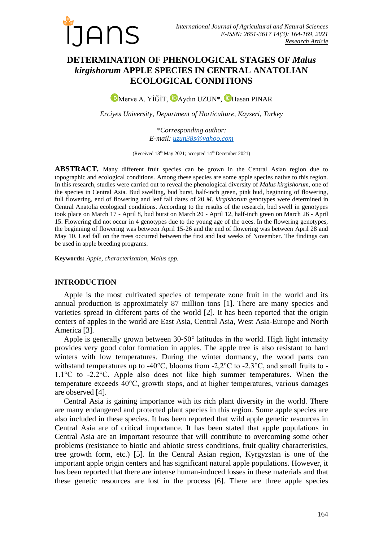

# **DETERMINATION OF PHENOLOGICAL STAGES OF** *Malus kirgishorum* **APPLE SPECIES IN CENTRAL ANATOLIAN ECOLOGICAL CONDITIONS**

**D**[M](https://orcid.org/0000-0002-6631-1747)erveA. YİĞİT, **D**Aydın UZUN<sup>\*</sup>, **D**Hasan PINAR

*Erciyes University, Department of Horticulture, Kayseri, Turkey*

*\*Corresponding author: E-mail: [uzun38s@yahoo.com](mailto:uzun38s@yahoo.com)*

(Received 18<sup>th</sup> May 2021; accepted 14<sup>th</sup> December 2021)

**ABSTRACT.** Many different fruit species can be grown in the Central Asian region due to topographic and ecological conditions. Among these species are some apple species native to this region. In this research, studies were carried out to reveal the phenological diversity of *Malus kirgishorum*, one of the species in Central Asia. Bud swelling, bud burst, half-inch green, pink bud, beginning of flowering, full flowering, end of flowering and leaf fall dates of 20 *M. kirgishorum* genotypes were determined in Central Anatolia ecological conditions. According to the results of the research, bud swell in genotypes took place on March 17 - April 8, bud burst on March 20 - April 12, half-inch green on March 26 - April 15. Flowering did not occur in 4 genotypes due to the young age of the trees. In the flowering genotypes, the beginning of flowering was between April 15-26 and the end of flowering was between April 28 and May 10. Leaf fall on the trees occurred between the first and last weeks of November. The findings can be used in apple breeding programs.

**Keywords:** *Apple, characterization, Malus spp.*

### **INTRODUCTION**

Apple is the most cultivated species of temperate zone fruit in the world and its annual production is approximately 87 million tons [1]. There are many species and varieties spread in different parts of the world [2]. It has been reported that the origin centers of apples in the world are East Asia, Central Asia, West Asia-Europe and North America [3].

Apple is generally grown between 30-50° latitudes in the world. High light intensity provides very good color formation in apples. The apple tree is also resistant to hard winters with low temperatures. During the winter dormancy, the wood parts can withstand temperatures up to -40 $^{\circ}$ C, blooms from -2,2 $^{\circ}$ C to -2.3 $^{\circ}$ C, and small fruits to -1.1°C to -2.2°C. Apple also does not like high summer temperatures. When the temperature exceeds 40°C, growth stops, and at higher temperatures, various damages are observed [4].

Central Asia is gaining importance with its rich plant diversity in the world. There are many endangered and protected plant species in this region. Some apple species are also included in these species. It has been reported that wild apple genetic resources in Central Asia are of critical importance. It has been stated that apple populations in Central Asia are an important resource that will contribute to overcoming some other problems (resistance to biotic and abiotic stress conditions, fruit quality characteristics, tree growth form, etc.) [5]. In the Central Asian region, Kyrgyzstan is one of the important apple origin centers and has significant natural apple populations. However, it has been reported that there are intense human-induced losses in these materials and that these genetic resources are lost in the process [6]. There are three apple species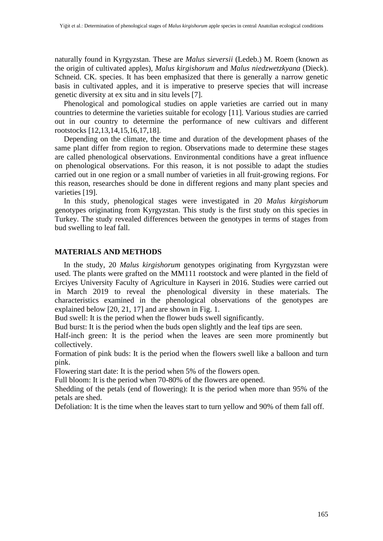naturally found in Kyrgyzstan. These are *Malus sieversii* (Ledeb.) M. Roem (known as the origin of cultivated apples), *Malus kirgishorum* and *Malus niedzwetzkyana* (Dieck). Schneid. CK. species. It has been emphasized that there is generally a narrow genetic basis in cultivated apples, and it is imperative to preserve species that will increase genetic diversity at ex situ and in situ levels [7].

Phenological and pomological studies on apple varieties are carried out in many countries to determine the varieties suitable for ecology [11]. Various studies are carried out in our country to determine the performance of new cultivars and different rootstocks [12,13,14,15,16,17,18].

Depending on the climate, the time and duration of the development phases of the same plant differ from region to region. Observations made to determine these stages are called phenological observations. Environmental conditions have a great influence on phenological observations. For this reason, it is not possible to adapt the studies carried out in one region or a small number of varieties in all fruit-growing regions. For this reason, researches should be done in different regions and many plant species and varieties [19].

In this study, phenological stages were investigated in 20 *Malus kirgishorum*  genotypes originating from Kyrgyzstan. This study is the first study on this species in Turkey. The study revealed differences between the genotypes in terms of stages from bud swelling to leaf fall.

## **MATERIALS AND METHODS**

In the study, 20 *Malus kirgishorum* genotypes originating from Kyrgyzstan were used. The plants were grafted on the MM111 rootstock and were planted in the field of Erciyes University Faculty of Agriculture in Kayseri in 2016. Studies were carried out in March 2019 to reveal the phenological diversity in these materials. The characteristics examined in the phenological observations of the genotypes are explained below [20, 21, 17] and are shown in Fig. 1.

Bud swell: It is the period when the flower buds swell significantly.

Bud burst: It is the period when the buds open slightly and the leaf tips are seen.

Half-inch green: It is the period when the leaves are seen more prominently but collectively.

Formation of pink buds: It is the period when the flowers swell like a balloon and turn pink.

Flowering start date: It is the period when 5% of the flowers open.

Full bloom: It is the period when 70-80% of the flowers are opened.

Shedding of the petals (end of flowering): It is the period when more than 95% of the petals are shed.

Defoliation: It is the time when the leaves start to turn yellow and 90% of them fall off.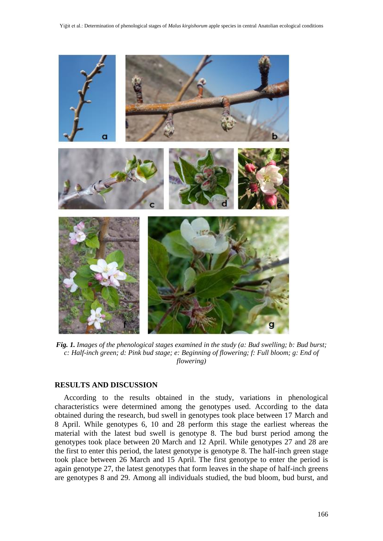

*Fig. 1. Images of the phenological stages examined in the study (a: Bud swelling; b: Bud burst; c: Half-inch green; d: Pink bud stage; e: Beginning of flowering; f: Full bloom; g: End of flowering)*

## **RESULTS AND DISCUSSION**

According to the results obtained in the study, variations in phenological characteristics were determined among the genotypes used. According to the data obtained during the research, bud swell in genotypes took place between 17 March and 8 April. While genotypes 6, 10 and 28 perform this stage the earliest whereas the material with the latest bud swell is genotype 8. The bud burst period among the genotypes took place between 20 March and 12 April. While genotypes 27 and 28 are the first to enter this period, the latest genotype is genotype 8. The half-inch green stage took place between 26 March and 15 April. The first genotype to enter the period is again genotype 27, the latest genotypes that form leaves in the shape of half-inch greens are genotypes 8 and 29. Among all individuals studied, the bud bloom, bud burst, and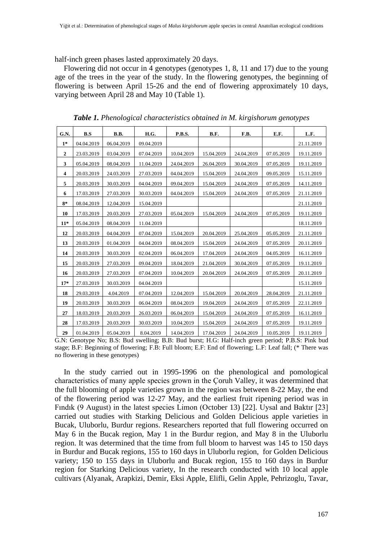half-inch green phases lasted approximately 20 days.

Flowering did not occur in 4 genotypes (genotypes 1, 8, 11 and 17) due to the young age of the trees in the year of the study. In the flowering genotypes, the beginning of flowering is between April 15-26 and the end of flowering approximately 10 days, varying between April 28 and May 10 (Table 1).

| G.N.             | B.S        | <b>B.B.</b> | H.G.       | <b>P.B.S.</b> | B.F.       | F.B.       | E.F.       | L.F.       |
|------------------|------------|-------------|------------|---------------|------------|------------|------------|------------|
| $1*$             | 04.04.2019 | 06.04.2019  | 09.04.2019 |               |            |            |            | 21.11.2019 |
| $\boldsymbol{2}$ | 23.03.2019 | 03.04.2019  | 07.04.2019 | 10.04.2019    | 15.04.2019 | 24.04.2019 | 07.05.2019 | 19.11.2019 |
| 3                | 05.04.2019 | 08.04.2019  | 11.04.2019 | 24.04.2019    | 26.04.2019 | 30.04.2019 | 07.05.2019 | 19.11.2019 |
| 4                | 20.03.2019 | 24.03.2019  | 27.03.2019 | 04.04.2019    | 15.04.2019 | 24.04.2019 | 09.05.2019 | 15.11.2019 |
| 5                | 20.03.2019 | 30.03.2019  | 04.04.2019 | 09.04.2019    | 15.04.2019 | 24.04.2019 | 07.05.2019 | 14.11.2019 |
| 6                | 17.03.2019 | 27.03.2019  | 30.03.2019 | 04.04.2019    | 15.04.2019 | 24.04.2019 | 07.05.2019 | 21.11.2019 |
| $8*$             | 08.04.2019 | 12.04.2019  | 15.04.2019 |               |            |            |            | 21.11.2019 |
| 10               | 17.03.2019 | 20.03.2019  | 27.03.2019 | 05.04.2019    | 15.04.2019 | 24.04.2019 | 07.05.2019 | 19.11.2019 |
| $11*$            | 05.04.2019 | 08.04.2019  | 11.04.2019 |               |            |            |            | 18.11.2019 |
| 12               | 20.03.2019 | 04.04.2019  | 07.04.2019 | 15.04.2019    | 20.04.2019 | 25.04.2019 | 05.05.2019 | 21.11.2019 |
| 13               | 20.03.2019 | 01.04.2019  | 04.04.2019 | 08.04.2019    | 15.04.2019 | 24.04.2019 | 07.05.2019 | 20.11.2019 |
| 14               | 20.03.2019 | 30.03.2019  | 02.04.2019 | 06.04.2019    | 17.04.2019 | 24.04.2019 | 04.05.2019 | 16.11.2019 |
| 15               | 20.03.2019 | 27.03.2019  | 09.04.2019 | 18.04.2019    | 21.04.2019 | 30.04.2019 | 07.05.2019 | 19.11.2019 |
| 16               | 20.03.2019 | 27.03.2019  | 07.04.2019 | 10.04.2019    | 20.04.2019 | 24.04.2019 | 07.05.2019 | 20.11.2019 |
| $17*$            | 27.03.2019 | 30.03.2019  | 04.04.2019 |               |            |            |            | 15.11.2019 |
| 18               | 29.03.2019 | 4.04.2019   | 07.04.2019 | 12.04.2019    | 15.04.2019 | 20.04.2019 | 28.04.2019 | 21.11.2019 |
| 19               | 20.03.2019 | 30.03.2019  | 06.04.2019 | 08.04.2019    | 19.04.2019 | 24.04.2019 | 07.05.2019 | 22.11.2019 |
| 27               | 18.03.2019 | 20.03.2019  | 26.03.2019 | 06.04.2019    | 15.04.2019 | 24.04.2019 | 07.05.2019 | 16.11.2019 |
| 28               | 17.03.2019 | 20.03.2019  | 30.03.2019 | 10.04.2019    | 15.04.2019 | 24.04.2019 | 07.05.2019 | 19.11.2019 |
| 29               | 01.04.2019 | 05.04.2019  | 8.04.2019  | 14.04.2019    | 17.04.2019 | 24.04.2019 | 10.05.2019 | 19.11.2019 |

*Table 1. Phenological characteristics obtained in M. kirgishorum genotypes*

In the study carried out in 1995-1996 on the phenological and pomological characteristics of many apple species grown in the Çoruh Valley, it was determined that the full blooming of apple varieties grown in the region was between 8-22 May, the end of the flowering period was 12-27 May, and the earliest fruit ripening period was in Fındık (9 August) in the latest species Limon (October 13) [22]. Uysal and Baktır [23] carried out studies with Starking Delicious and Golden Delicious apple varieties in Bucak, Uluborlu, Burdur regions. Researchers reported that full flowering occurred on May 6 in the Bucak region, May 1 in the Burdur region, and May 8 in the Uluborlu region. It was determined that the time from full bloom to harvest was 145 to 150 days in Burdur and Bucak regions, 155 to 160 days in Uluborlu region, for Golden Delicious variety; 150 to 155 days in Uluborlu and Bucak region, 155 to 160 days in Burdur region for Starking Delicious variety, In the research conducted with 10 local apple cultivars (Alyanak, Arapkizi, Demir, Eksi Apple, Elifli, Gelin Apple, Pehrizoglu, Tavar,

G.N: Genotype No; B.S: Bud swelling; B.B: Bud burst; H.G: Half-inch green period; P.B.S: Pink bud stage; B.F: Beginning of flowering; F.B: Full bloom; E.F: End of flowering; L.F: Leaf fall; (\* There was no flowering in these genotypes)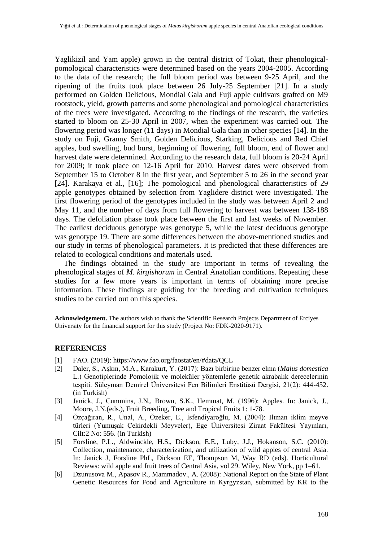Yaglikizil and Yam apple) grown in the central district of Tokat, their phenologicalpomological characteristics were determined based on the years 2004-2005. According to the data of the research; the full bloom period was between 9-25 April, and the ripening of the fruits took place between 26 July-25 September [21]. In a study performed on Golden Delicious, Mondial Gala and Fuji apple cultivars grafted on M9 rootstock, yield, growth patterns and some phenological and pomological characteristics of the trees were investigated. According to the findings of the research, the varieties started to bloom on 25-30 April in 2007, when the experiment was carried out. The flowering period was longer (11 days) in Mondial Gala than in other species [14]. In the study on Fuji, Granny Smith, Golden Delicious, Starking, Delicious and Red Chief apples, bud swelling, bud burst, beginning of flowering, full bloom, end of flower and harvest date were determined. According to the research data, full bloom is 20-24 April for 2009; it took place on 12-16 April for 2010. Harvest dates were observed from September 15 to October 8 in the first year, and September 5 to 26 in the second year [24]. Karakaya et al., [16]; The pomological and phenological characteristics of 29 apple genotypes obtained by selection from Yaglidere district were investigated. The first flowering period of the genotypes included in the study was between April 2 and May 11, and the number of days from full flowering to harvest was between 138-188 days. The defoliation phase took place between the first and last weeks of November. The earliest deciduous genotype was genotype 5, while the latest deciduous genotype was genotype 19. There are some differences between the above-mentioned studies and our study in terms of phenological parameters. It is predicted that these differences are related to ecological conditions and materials used.

The findings obtained in the study are important in terms of revealing the phenological stages of *M. kirgishorum* in Central Anatolian conditions. Repeating these studies for a few more years is important in terms of obtaining more precise information. These findings are guiding for the breeding and cultivation techniques studies to be carried out on this species.

**Acknowledgement.** The authors wish to thank the Scientific Research Projects Department of Erciyes University for the financial support for this study (Project No: FDK-2020-9171).

### **REFERENCES**

- [1] FAO. (2019): https://www.fao.org/faostat/en/#data/QCL
- [2] Daler, S., Aşkın, M.A., Karakurt, Y. (2017): Bazı birbirine benzer elma (*Malus domestica* L.) Genotiplerinde Pomolojik ve moleküler yöntemlerle genetik akrabalık derecelerinin tespiti. Süleyman Demirel Üniversitesi Fen Bilimleri Enstitüsü Dergisi, 21(2): 444-452. (in Turkish)
- [3] Janick, J., Cummins, J.N,, Brown, S.K., Hemmat, M. (1996): Apples. In: Janick, J., Moore, J.N.(eds.), Fruit Breeding, Tree and Tropical Fruits 1: 1-78.
- [4] Özçağıran, R., Ünal, A., Özeker, E., İsfendiyaroğlu, M. (2004): Ilıman iklim meyve türleri (Yumuşak Çekirdekli Meyveler), Ege Üniversitesi Ziraat Fakültesi Yayınları, Cilt:2 No: 556. (in Turkish)
- [5] Forsline, P.L., Aldwinckle, H.S., Dickson, E.E., Luby, J.J., Hokanson, S.C. (2010): Collection, maintenance, characterization, and utilization of wild apples of central Asia. In: Janick J, Forsline PhL, Dickson EE, Thompson M, Way RD (eds). Horticultural Reviews: wild apple and fruit trees of Central Asia, vol 29. Wiley, New York, pp 1–61.
- [6] Dzunusova M., Apasov R., Mammadov., A. (2008): National Report on the State of Plant Genetic Resources for Food and Agriculture in Kyrgyzstan, submitted by KR to the